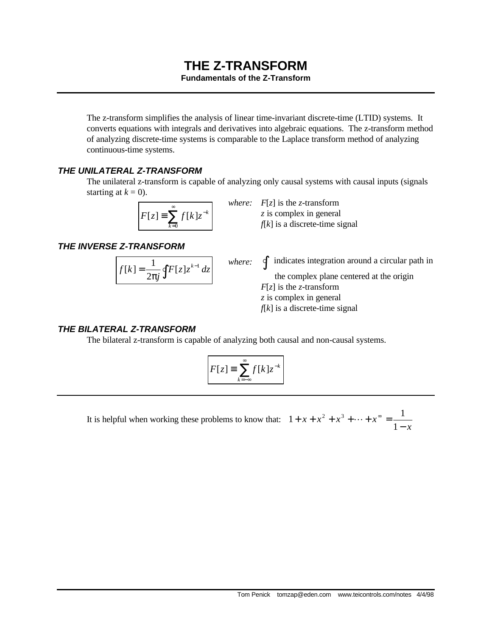# **THE Z-TRANSFORM**

#### **Fundamentals of the Z-Transform**

The z-transform simplifies the analysis of linear time-invariant discrete-time (LTID) systems. It converts equations with integrals and derivatives into algebraic equations. The z-transform method of analyzing discrete-time systems is comparable to the Laplace transform method of analyzing continuous-time systems.

### *THE UNILATERAL Z-TRANSFORM*

The unilateral z-transform is capable of analyzing only causal systems with causal inputs (signals starting at  $k = 0$ ).

$$
F[z] \equiv \sum_{k=0}^{\infty} f[k] z^{-k}
$$

*where: F*[*z*] is the *z*-transform *z* is complex in general *f*[*k*] is a discrete-time signal

*THE INVERSE Z-TRANSFORM*

$$
f[k] = \frac{1}{2\pi j} \oint F[z] z^{k-1} dz
$$

 $\oint$  indicates integration around a circular path in

the complex plane centered at the origin *F*[*z*] is the *z*-transform *z* is complex in general *f*[*k*] is a discrete-time signal

### *THE BILATERAL Z-TRANSFORM*

The bilateral z-transform is capable of analyzing both causal and non-causal systems.

$$
F[z] \equiv \sum_{k=-\infty}^{\infty} f[k] z^{-k}
$$

*where:* 

It is helpful when working these problems to know that: *x*  $x + x^2 + x^3 + \dots + x^3$ −  $+ x + x<sup>2</sup> + x<sup>3</sup> + \dots + x<sup>∞</sup> =$ 1  $1 + x + x^2 + x^3 + \dots + x^{\infty} = \frac{1}{1}$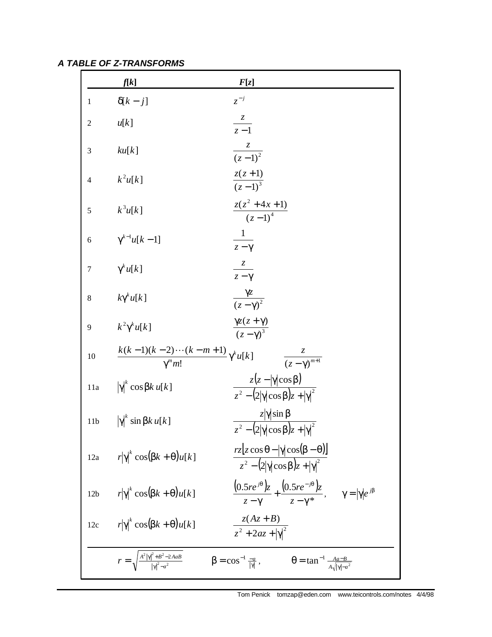*A TABLE OF Z-TRANSFORMS*

|                 | f[k]                                                              | F[z]                                                                                                           |
|-----------------|-------------------------------------------------------------------|----------------------------------------------------------------------------------------------------------------|
| 1               | $\delta[k-j]$                                                     | $z^{-j}$                                                                                                       |
| $\overline{c}$  | u[k]                                                              | $\frac{z}{z-1}$                                                                                                |
| 3               | ku[k]                                                             | $\frac{z}{(z-1)^2}$                                                                                            |
| $\overline{4}$  | $k^2u[k]$                                                         | $\frac{z(z+1)}{(z-1)^3}$                                                                                       |
| 5               | $k^3u[k]$                                                         | $\frac{z(z^2+4x+1)}{(z-1)^4}$                                                                                  |
| 6               | $\gamma^{k-1}u[k-1]$                                              | $\frac{1}{z-\gamma}$                                                                                           |
| 7               | $\gamma^k u[k]$                                                   | $rac{z}{z-\gamma}$                                                                                             |
| 8               | $k\gamma^k u[k]$                                                  | $\frac{\gamma z}{(z-\gamma)^2}$                                                                                |
| 9               | $k^2\gamma^k u[k]$                                                | $\frac{\gamma z(z+\gamma)}{(z-\gamma)^3}$                                                                      |
| 10              | $\frac{k(k-1)(k-2)\cdots(k-m+1)}{\gamma^m m!}\gamma^k u[k]$       | $\frac{z}{(z-\gamma)^{m+1}}$                                                                                   |
| 11a             | $ \gamma ^k \cos \beta k u[k]$                                    | $\frac{z(z- \gamma \cos\beta)}{z^2-(2 \gamma \cos\beta)z+ \gamma ^2}$                                          |
| 11b             | $ \gamma ^{k}$ sin $\beta k u[k]$                                 | $\frac{z \gamma \sin\beta}{z^2 - (2 \gamma \cos\beta)z +  \gamma ^2}$                                          |
| 12a             | $r \gamma ^k \cos(\beta k + \theta)u[k]$                          | $rz[z\cos\theta -  \gamma \cos(\beta - \theta)]$<br>$z^2 - (2 \gamma  \cos \beta)z +  \gamma ^2$               |
| 12 <sub>b</sub> | $r \gamma ^k \cos(\beta k + \theta)u[k]$                          | $\frac{(0.5re^{j\theta})z}{z-\gamma}+\frac{(0.5re^{-j\theta})z}{z-\gamma^*}, \qquad \gamma= \gamma e^{j\beta}$ |
| 12c             | $ r \gamma ^k \cos(\beta k + \theta)u[k]$                         | $\frac{z(Az+B)}{z^2+2az+ y ^2}$                                                                                |
|                 | $r = \sqrt{\frac{A^2  \gamma ^2 + B^2 - 2AaB}{ \gamma ^2 - a^2}}$ | $\beta = \cos^{-1} \frac{-a}{ \gamma },$<br>$\theta = \tan^{-1} \frac{Aa - B}{A\sqrt{ \gamma  - a^2}}$         |